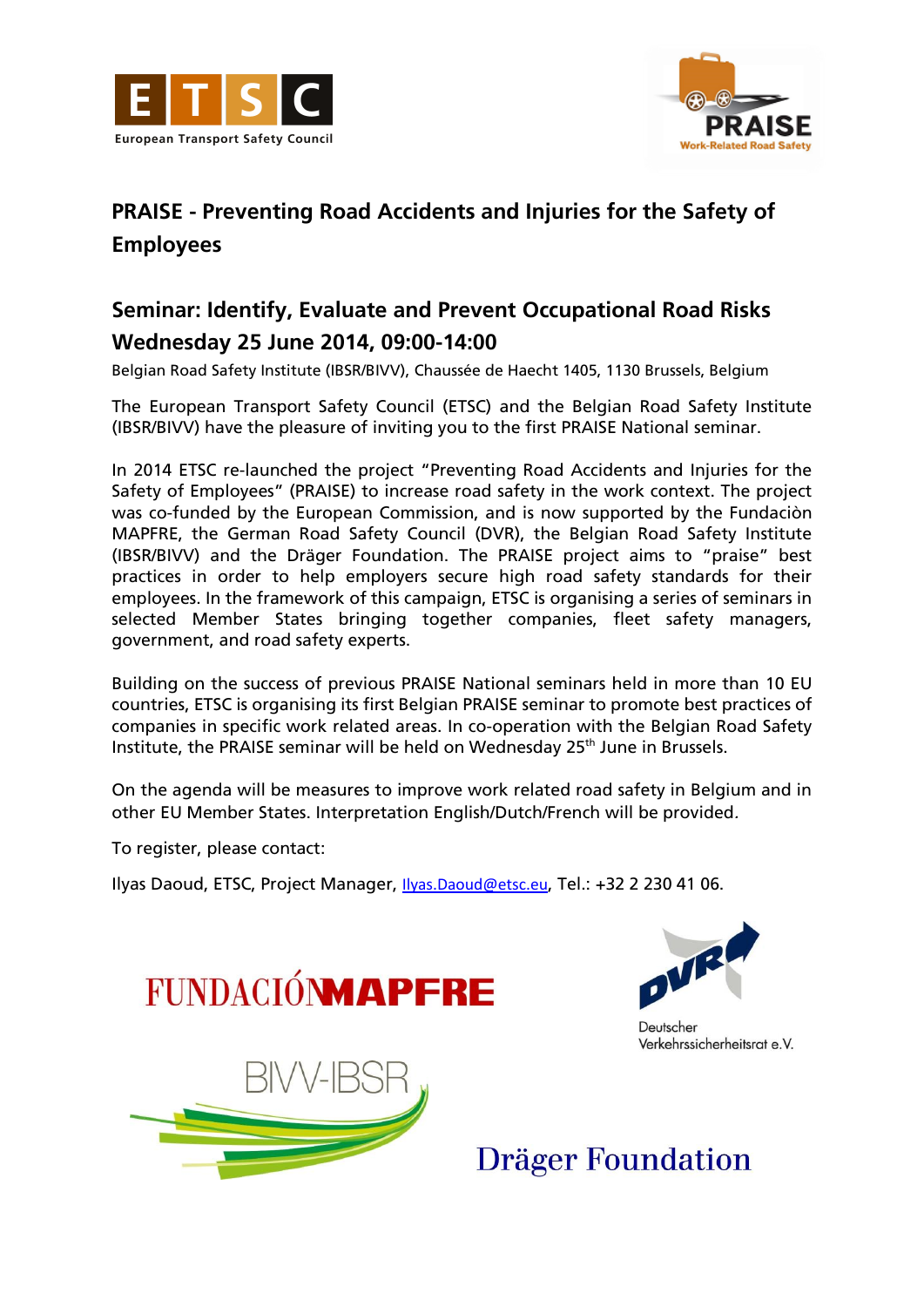



## **PRAISE - Preventing Road Accidents and Injuries for the Safety of Employees**

## **Seminar: Identify, Evaluate and Prevent Occupational Road Risks Wednesday 25 June 2014, 09:00-14:00**

Belgian Road Safety Institute (IBSR/BIVV), Chaussée de Haecht 1405, 1130 Brussels, Belgium

The European Transport Safety Council (ETSC) and the Belgian Road Safety Institute (IBSR/BIVV) have the pleasure of inviting you to the first PRAISE National seminar.

In 2014 ETSC re-launched the project "Preventing Road Accidents and Injuries for the Safety of Employees" (PRAISE) to increase road safety in the work context. The project was co-funded by the European Commission, and is now supported by the Fundaciòn MAPFRE, the German Road Safety Council (DVR), the Belgian Road Safety Institute (IBSR/BIVV) and the Dräger Foundation. The PRAISE project aims to "praise" best practices in order to help employers secure high road safety standards for their employees. In the framework of this campaign, ETSC is organising a series of seminars in selected Member States bringing together companies, fleet safety managers, government, and road safety experts.

Building on the success of previous PRAISE National seminars held in more than 10 EU countries, ETSC is organising its first Belgian PRAISE seminar to promote best practices of companies in specific work related areas. In co-operation with the Belgian Road Safety Institute, the PRAISE seminar will be held on Wednesday 25<sup>th</sup> June in Brussels.

On the agenda will be measures to improve work related road safety in Belgium and in other EU Member States. Interpretation English/Dutch/French will be provided.

To register, please contact:

Ilyas Daoud, ETSC, Project Manager, *Ilyas Daoud@etsc.eu*, Tel.: +32 2 230 41 06.





Deutscher Verkehrssicherheitsrat e.V.